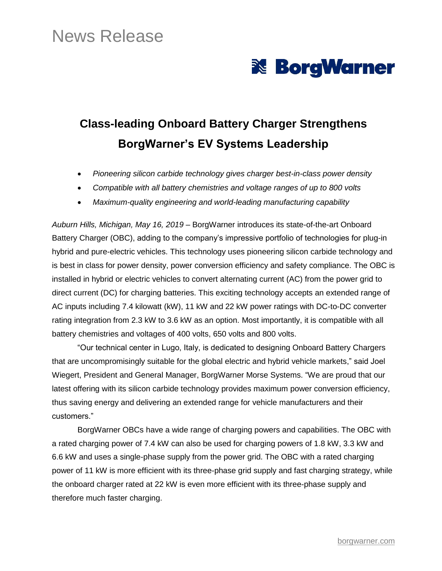## News Release

# **& BorgWarner**

## **Class-leading Onboard Battery Charger Strengthens BorgWarner's EV Systems Leadership**

- *Pioneering silicon carbide technology gives charger best-in-class power density*
- *Compatible with all battery chemistries and voltage ranges of up to 800 volts*
- *Maximum-quality engineering and world-leading manufacturing capability*

*Auburn Hills, Michigan, May 16, 2019* – BorgWarner introduces its state-of-the-art Onboard Battery Charger (OBC), adding to the company's impressive portfolio of technologies for plug-in hybrid and pure-electric vehicles. This technology uses pioneering silicon carbide technology and is best in class for power density, power conversion efficiency and safety compliance. The OBC is installed in hybrid or electric vehicles to convert alternating current (AC) from the power grid to direct current (DC) for charging batteries. This exciting technology accepts an extended range of AC inputs including 7.4 kilowatt (kW), 11 kW and 22 kW power ratings with DC-to-DC converter rating integration from 2.3 kW to 3.6 kW as an option. Most importantly, it is compatible with all battery chemistries and voltages of 400 volts, 650 volts and 800 volts.

"Our technical center in Lugo, Italy, is dedicated to designing Onboard Battery Chargers that are uncompromisingly suitable for the global electric and hybrid vehicle markets," said Joel Wiegert, President and General Manager, BorgWarner Morse Systems. "We are proud that our latest offering with its silicon carbide technology provides maximum power conversion efficiency, thus saving energy and delivering an extended range for vehicle manufacturers and their customers."

BorgWarner OBCs have a wide range of charging powers and capabilities. The OBC with a rated charging power of 7.4 kW can also be used for charging powers of 1.8 kW, 3.3 kW and 6.6 kW and uses a single-phase supply from the power grid. The OBC with a rated charging power of 11 kW is more efficient with its three-phase grid supply and fast charging strategy, while the onboard charger rated at 22 kW is even more efficient with its three-phase supply and therefore much faster charging.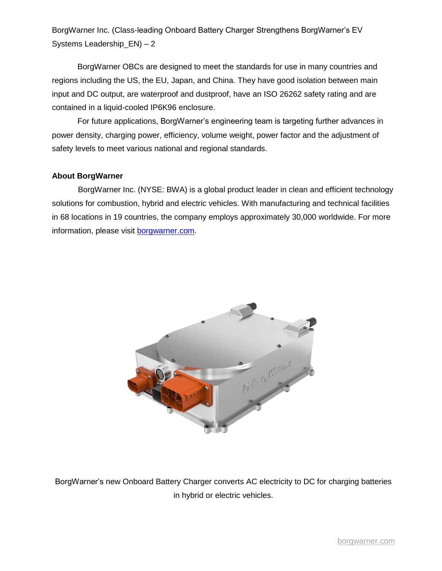BorgWarner Inc. (Class-leading Onboard Battery Charger Strengthens BorgWarner's EV Systems Leadership  $EN$ ) – 2

BorgWarner OBCs are designed to meet the standards for use in many countries and regions including the US, the EU, Japan, and China. They have good isolation between main input and DC output, are waterproof and dustproof, have an ISO 26262 safety rating and are contained in a liquid-cooled IP6K96 enclosure.

For future applications, BorgWarner's engineering team is targeting further advances in power density, charging power, efficiency, volume weight, power factor and the adjustment of safety levels to meet various national and regional standards.

#### **About BorgWarner**

BorgWarner Inc. (NYSE: BWA) is a global product leader in clean and efficient technology solutions for combustion, hybrid and electric vehicles. With manufacturing and technical facilities in 68 locations in 19 countries, the company employs approximately 30,000 worldwide. For more information, please visit [borgwarner.com.](http://www.borgwarner.com/)



BorgWarner's new Onboard Battery Charger converts AC electricity to DC for charging batteries in hybrid or electric vehicles.

[borgwarner.com](https://www.borgwarner.com/en/home)